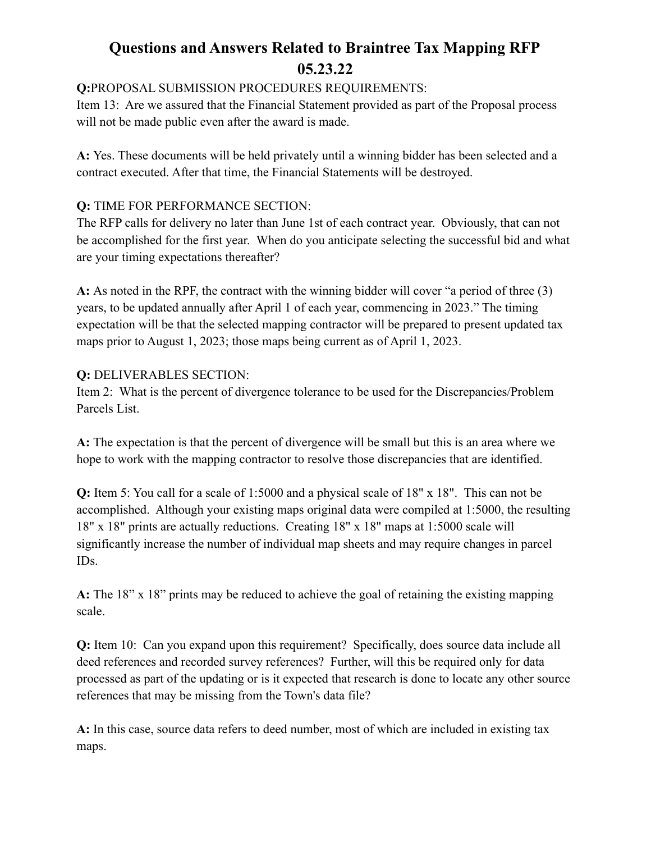# **Questions and Answers Related to Braintree Tax Mapping RFP 05.23.22**

**Q:**PROPOSAL SUBMISSION PROCEDURES REQUIREMENTS:

Item 13: Are we assured that the Financial Statement provided as part of the Proposal process will not be made public even after the award is made.

**A:** Yes. These documents will be held privately until a winning bidder has been selected and a contract executed. After that time, the Financial Statements will be destroyed.

### **Q:** TIME FOR PERFORMANCE SECTION:

The RFP calls for delivery no later than June 1st of each contract year. Obviously, that can not be accomplished for the first year. When do you anticipate selecting the successful bid and what are your timing expectations thereafter?

**A:** As noted in the RPF, the contract with the winning bidder will cover "a period of three (3) years, to be updated annually after April 1 of each year, commencing in 2023." The timing expectation will be that the selected mapping contractor will be prepared to present updated tax maps prior to August 1, 2023; those maps being current as of April 1, 2023.

#### **Q:** DELIVERABLES SECTION:

Item 2: What is the percent of divergence tolerance to be used for the Discrepancies/Problem Parcels List.

**A:** The expectation is that the percent of divergence will be small but this is an area where we hope to work with the mapping contractor to resolve those discrepancies that are identified.

**Q:** Item 5: You call for a scale of 1:5000 and a physical scale of 18" x 18". This can not be accomplished. Although your existing maps original data were compiled at 1:5000, the resulting 18" x 18" prints are actually reductions. Creating 18" x 18" maps at 1:5000 scale will significantly increase the number of individual map sheets and may require changes in parcel IDs.

**A:** The 18" x 18" prints may be reduced to achieve the goal of retaining the existing mapping scale.

**Q:** Item 10: Can you expand upon this requirement? Specifically, does source data include all deed references and recorded survey references? Further, will this be required only for data processed as part of the updating or is it expected that research is done to locate any other source references that may be missing from the Town's data file?

**A:** In this case, source data refers to deed number, most of which are included in existing tax maps.